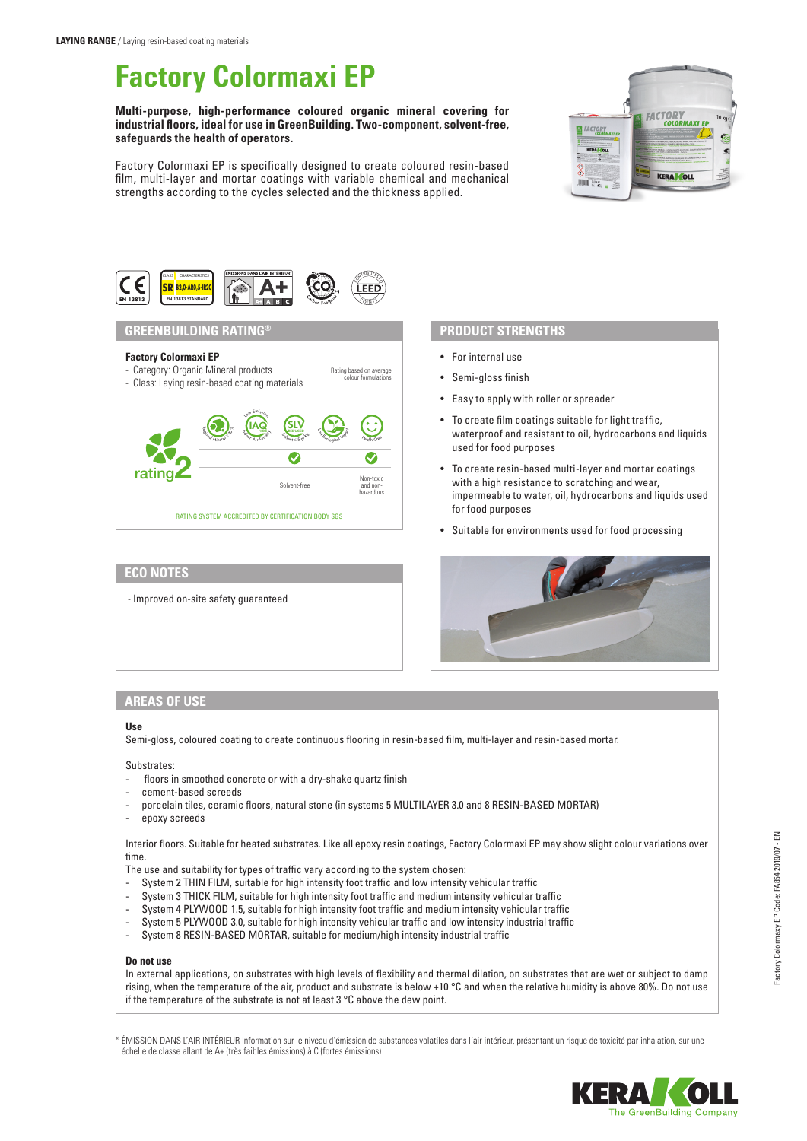# **Factory Colormaxi EP**

**Multi-purpose, high-performance coloured organic mineral covering for industrial floors, ideal for use in GreenBuilding. Two-component, solvent-free, safeguards the health of operators.**

Factory Colormaxi EP is specifically designed to create coloured resin-based film, multi-layer and mortar coatings with variable chemical and mechanical strengths according to the cycles selected and the thickness applied.





## **ECO NOTES**

- Improved on-site safety guaranteed

## **PRODUCT STRENGTHS**

- For internal use
- Semi-gloss finish
- Easy to apply with roller or spreader
- To create film coatings suitable for light traffic, waterproof and resistant to oil, hydrocarbons and liquids used for food purposes
- To create resin-based multi-layer and mortar coatings with a high resistance to scratching and wear, impermeable to water, oil, hydrocarbons and liquids used for food purposes
- Suitable for environments used for food processing



## **AREAS OF USE**

#### **Use**

Semi-gloss, coloured coating to create continuous flooring in resin-based film, multi-layer and resin-based mortar.

Substrates:

- floors in smoothed concrete or with a dry-shake quartz finish
- cement-based screeds
- porcelain tiles, ceramic floors, natural stone (in systems 5 MULTILAYER 3.0 and 8 RESIN-BASED MORTAR)
- epoxy screeds

Interior floors. Suitable for heated substrates. Like all epoxy resin coatings, Factory Colormaxi EP may show slight colour variations over time.

The use and suitability for types of traffic vary according to the system chosen:

- System 2 THIN FILM, suitable for high intensity foot traffic and low intensity vehicular traffic
- System 3 THICK FILM, suitable for high intensity foot traffic and medium intensity vehicular traffic
- System 4 PLYWOOD 1.5, suitable for high intensity foot traffic and medium intensity vehicular traffic
- System 5 PLYWOOD 3.0, suitable for high intensity vehicular traffic and low intensity industrial traffic
- System 8 RESIN-BASED MORTAR, suitable for medium/high intensity industrial traffic

#### **Do not use**

In external applications, on substrates with high levels of flexibility and thermal dilation, on substrates that are wet or subject to damp rising, when the temperature of the air, product and substrate is below +10 °C and when the relative humidity is above 80%. Do not use if the temperature of the substrate is not at least 3 °C above the dew point.

\* ÉMISSION DANS L'AIR INTÉRIEUR Information sur le niveau d'émission de substances volatiles dans l'air intérieur, présentant un risque de toxicité par inhalation, sur une échelle de classe allant de A+ (très faibles émissions) à C (fortes émissions).

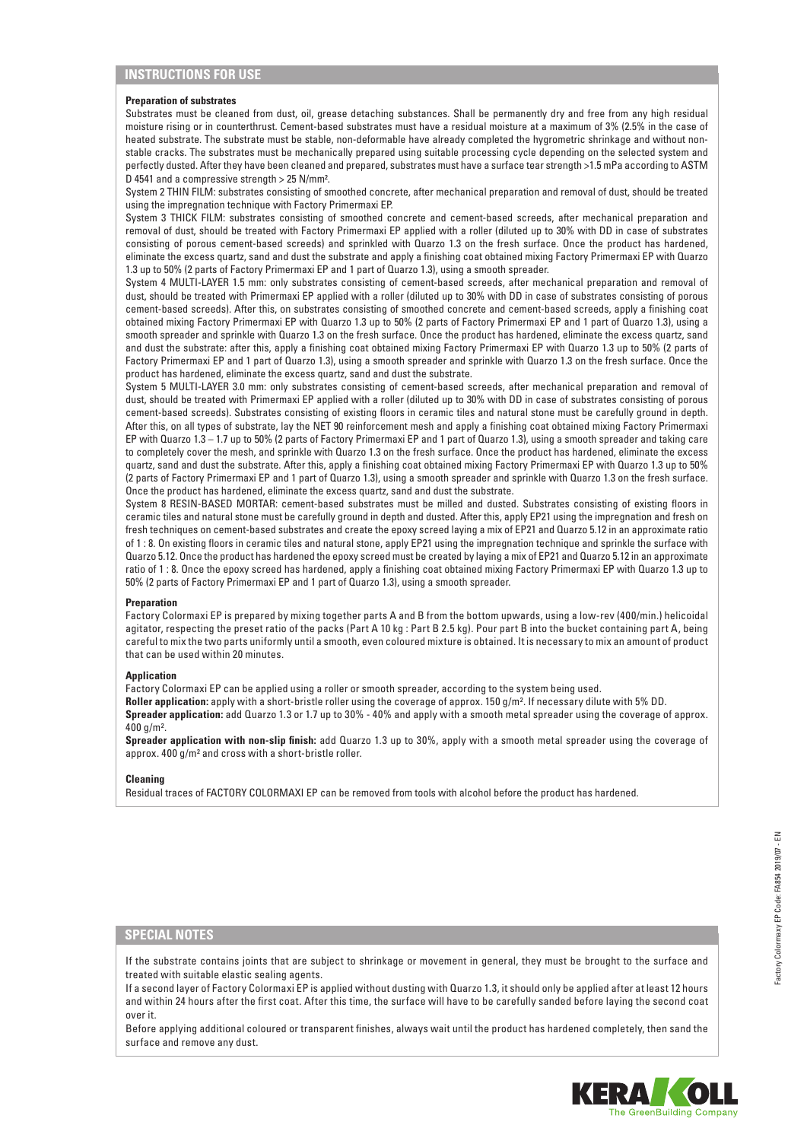## **INSTRUCTIONS FOR USE**

#### **Preparation of substrates**

Substrates must be cleaned from dust, oil, grease detaching substances. Shall be permanently dry and free from any high residual moisture rising or in counterthrust. Cement-based substrates must have a residual moisture at a maximum of 3% (2.5% in the case of heated substrate. The substrate must be stable, non-deformable have already completed the hygrometric shrinkage and without nonstable cracks. The substrates must be mechanically prepared using suitable processing cycle depending on the selected system and perfectly dusted. After they have been cleaned and prepared, substrates must have a surface tear strength >1.5 mPa according to ASTM D 4541 and a compressive strength > 25 N/mm².

System 2 THIN FILM: substrates consisting of smoothed concrete, after mechanical preparation and removal of dust, should be treated using the impregnation technique with Factory Primermaxi EP.

System 3 THICK FILM: substrates consisting of smoothed concrete and cement-based screeds, after mechanical preparation and removal of dust, should be treated with Factory Primermaxi EP applied with a roller (diluted up to 30% with DD in case of substrates consisting of porous cement-based screeds) and sprinkled with Quarzo 1.3 on the fresh surface. Once the product has hardened, eliminate the excess quartz, sand and dust the substrate and apply a finishing coat obtained mixing Factory Primermaxi EP with Quarzo 1.3 up to 50% (2 parts of Factory Primermaxi EP and 1 part of Quarzo 1.3), using a smooth spreader.

System 4 MULTI-LAYER 1.5 mm: only substrates consisting of cement-based screeds, after mechanical preparation and removal of dust, should be treated with Primermaxi EP applied with a roller (diluted up to 30% with DD in case of substrates consisting of porous cement-based screeds). After this, on substrates consisting of smoothed concrete and cement-based screeds, apply a finishing coat obtained mixing Factory Primermaxi EP with Quarzo 1.3 up to 50% (2 parts of Factory Primermaxi EP and 1 part of Quarzo 1.3), using a smooth spreader and sprinkle with Quarzo 1.3 on the fresh surface. Once the product has hardened, eliminate the excess quartz, sand and dust the substrate: after this, apply a finishing coat obtained mixing Factory Primermaxi EP with Quarzo 1.3 up to 50% (2 parts of Factory Primermaxi EP and 1 part of Quarzo 1.3), using a smooth spreader and sprinkle with Quarzo 1.3 on the fresh surface. Once the product has hardened, eliminate the excess quartz, sand and dust the substrate.

System 5 MULTI-LAYER 3.0 mm: only substrates consisting of cement-based screeds, after mechanical preparation and removal of dust, should be treated with Primermaxi EP applied with a roller (diluted up to 30% with DD in case of substrates consisting of porous cement-based screeds). Substrates consisting of existing floors in ceramic tiles and natural stone must be carefully ground in depth. After this, on all types of substrate, lay the NET 90 reinforcement mesh and apply a finishing coat obtained mixing Factory Primermaxi EP with Quarzo 1.3 – 1.7 up to 50% (2 parts of Factory Primermaxi EP and 1 part of Quarzo 1.3), using a smooth spreader and taking care to completely cover the mesh, and sprinkle with Quarzo 1.3 on the fresh surface. Once the product has hardened, eliminate the excess quartz, sand and dust the substrate. After this, apply a finishing coat obtained mixing Factory Primermaxi EP with Quarzo 1.3 up to 50% (2 parts of Factory Primermaxi EP and 1 part of Quarzo 1.3), using a smooth spreader and sprinkle with Quarzo 1.3 on the fresh surface. Once the product has hardened, eliminate the excess quartz, sand and dust the substrate.

System 8 RESIN-BASED MORTAR: cement-based substrates must be milled and dusted. Substrates consisting of existing floors in ceramic tiles and natural stone must be carefully ground in depth and dusted. After this, apply EP21 using the impregnation and fresh on fresh techniques on cement-based substrates and create the epoxy screed laying a mix of EP21 and Quarzo 5.12 in an approximate ratio of 1 : 8. On existing floors in ceramic tiles and natural stone, apply EP21 using the impregnation technique and sprinkle the surface with Quarzo 5.12. Once the product has hardened the epoxy screed must be created by laying a mix of EP21 and Quarzo 5.12 in an approximate ratio of 1 : 8. Once the epoxy screed has hardened, apply a finishing coat obtained mixing Factory Primermaxi EP with Quarzo 1.3 up to 50% (2 parts of Factory Primermaxi EP and 1 part of Quarzo 1.3), using a smooth spreader.

#### **Preparation**

Factory Colormaxi EP is prepared by mixing together parts A and B from the bottom upwards, using a low-rev (400/min.) helicoidal agitator, respecting the preset ratio of the packs (Part A 10 kg : Part B 2.5 kg). Pour part B into the bucket containing part A, being careful to mix the two parts uniformly until a smooth, even coloured mixture is obtained. It is necessary to mix an amount of product that can be used within 20 minutes.

#### **Application**

Factory Colormaxi EP can be applied using a roller or smooth spreader, according to the system being used. **Roller application:** apply with a short-bristle roller using the coverage of approx. 150 g/m². If necessary dilute with 5% DD. **Spreader application:** add Quarzo 1.3 or 1.7 up to 30% - 40% and apply with a smooth metal spreader using the coverage of approx.  $400 \frac{\text{m}}{\text{s}}$ 

**Spreader application with non-slip finish:** add Quarzo 1.3 up to 30%, apply with a smooth metal spreader using the coverage of approx. 400 g/m² and cross with a short-bristle roller.

#### **Cleaning**

Residual traces of FACTORY COLORMAXI EP can be removed from tools with alcohol before the product has hardened.

## **SPECIAL NOTES**

If the substrate contains joints that are subject to shrinkage or movement in general, they must be brought to the surface and treated with suitable elastic sealing agents.

If a second layer of Factory Colormaxi EP is applied without dusting with Quarzo 1.3, it should only be applied after at least 12 hours and within 24 hours after the first coat. After this time, the surface will have to be carefully sanded before laying the second coat over it.

Before applying additional coloured or transparent finishes, always wait until the product has hardened completely, then sand the surface and remove any dust.

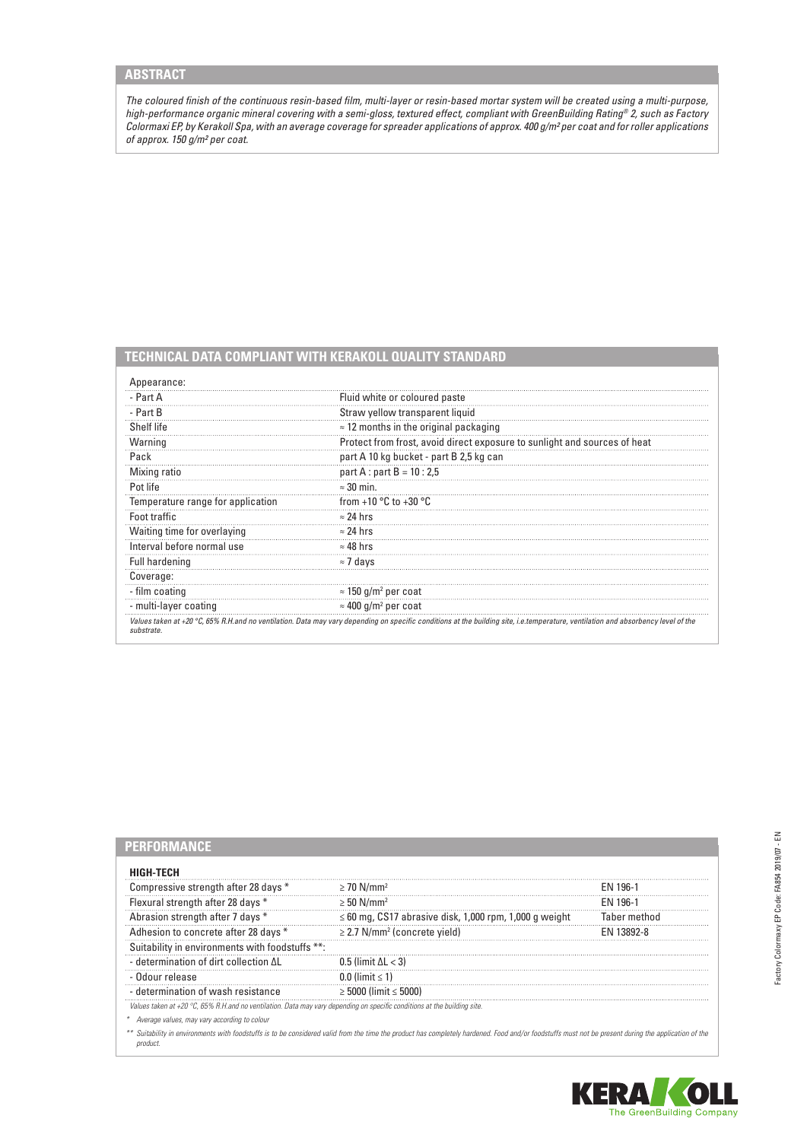*The coloured finish of the continuous resin-based film, multi-layer or resin-based mortar system will be created using a multi-purpose, high-performance organic mineral covering with a semi-gloss, textured effect, compliant with GreenBuilding Rating® 2, such as Factory Colormaxi EP, by Kerakoll Spa, with an average coverage for spreader applications of approx. 400 g/m² per coat and for roller applications of approx. 150 g/m² per coat.*

# **TECHNICAL DATA COMPLIANT WITH KERAKOLL QUALITY STANDARD**

| - Part A                          | Fluid white or coloured paste                                             |  |
|-----------------------------------|---------------------------------------------------------------------------|--|
| - Part B                          | Straw yellow transparent liquid                                           |  |
| Shelf life                        | $\approx$ 12 months in the original packaging                             |  |
| Warning                           | Protect from frost, avoid direct exposure to sunlight and sources of heat |  |
| Pack                              | part A 10 kg bucket - part B 2,5 kg can                                   |  |
| Mixing ratio                      | part A : part B = $10:2.5$                                                |  |
| Pot life                          | $\approx$ 30 min.                                                         |  |
| Temperature range for application | from +10 $\degree$ C to +30 $\degree$ C                                   |  |
| Foot traffic                      | $\approx$ 24 hrs                                                          |  |
| Waiting time for overlaying       | $\approx$ 24 hrs                                                          |  |
| Interval before normal use        | $\approx$ 48 hrs                                                          |  |
| Full hardening                    | $\approx$ 7 days                                                          |  |
| Coverage:                         |                                                                           |  |
| - film coating                    | $\approx$ 150 g/m <sup>2</sup> per coat                                   |  |
| - multi-layer coating             | $\approx$ 400 g/m <sup>2</sup> per coat                                   |  |

| GH-TFCH                                                                                                                            |                                                             |              |
|------------------------------------------------------------------------------------------------------------------------------------|-------------------------------------------------------------|--------------|
| Compressive strength after 28 days *                                                                                               | $\geq$ 70 N/mm <sup>2</sup>                                 | FN 196-1     |
| Flexural strength after 28 days *                                                                                                  | $\geq$ 50 N/mm <sup>2</sup>                                 | FN 196-1     |
| Abrasion strength after 7 days *                                                                                                   | $\leq 60$ mg, CS17 abrasive disk, 1,000 rpm, 1,000 g weight | Taber method |
| Adhesion to concrete after 28 days *                                                                                               | $\geq$ 2.7 N/mm <sup>2</sup> (concrete yield)               | FN 13892-8   |
| Suitability in environments with foodstuffs **:                                                                                    |                                                             |              |
| - determination of dirt collection ΔL                                                                                              | $0.5$ (limit $\Delta l < 3$ )                               |              |
| - Odour release                                                                                                                    | 0.0 (limit $\leq 1$ )                                       |              |
| - determination of wash resistance                                                                                                 | $\geq 5000$ (limit $\leq 5000$ )                            |              |
| Values taken at +20 $^{\circ}$ C, 65% R.H.and no ventilation. Data may vary depending on specific conditions at the building site. |                                                             |              |

*\* Average values, may vary according to colour*

*\*\* Suitability in environments with foodstuffs is to be considered valid from the time the product has completely hardened. Food and/or foodstuffs must not be present during the application of the product.*